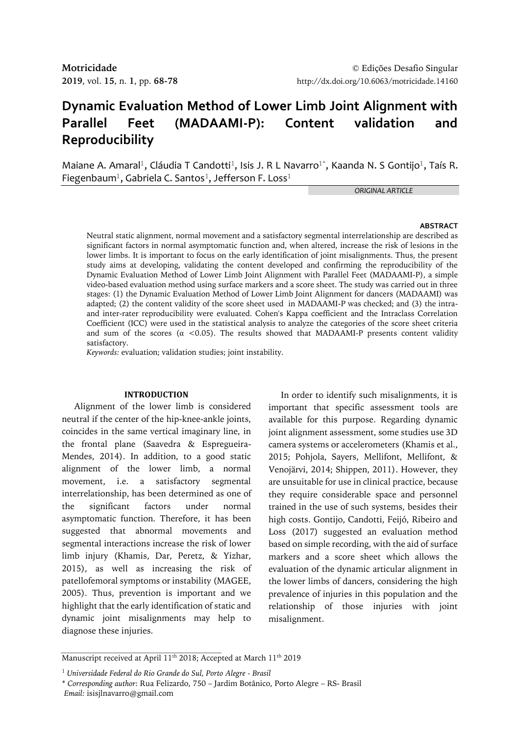# **Dynamic Evaluation Method of Lower Limb Joint Alignment with Parallel Feet (MADAAMI-P): Content validation and Reproducibility**

Maiane A. Amaral<sup>1</sup>, Cláudia T Candotti<sup>1</sup>, Isis J. R L Navarro<sup>1\*</sup>, Kaanda N. S Gontijo<sup>1</sup>, Taís R. Fiegenbaum<sup>1</sup>, Gabriela C. Santos<sup>1</sup>, Jefferson F. Loss<sup>1</sup>

*ORIGINAL ARTICLE*

### **ABSTRACT**

Neutral static alignment, normal movement and a satisfactory segmental interrelationship are described as significant factors in normal asymptomatic function and, when altered, increase the risk of lesions in the lower limbs. It is important to focus on the early identification of joint misalignments. Thus, the present study aims at developing, validating the content developed and confirming the reproducibility of the Dynamic Evaluation Method of Lower Limb Joint Alignment with Parallel Feet (MADAAMI-P), a simple video-based evaluation method using surface markers and a score sheet. The study was carried out in three stages: (1) the Dynamic Evaluation Method of Lower Limb Joint Alignment for dancers (MADAAMI) was adapted; (2) the content validity of the score sheet used in MADAAMI-P was checked; and (3) the intraand inter-rater reproducibility were evaluated. Cohen's Kappa coefficient and the Intraclass Correlation Coefficient (ICC) were used in the statistical analysis to analyze the categories of the score sheet criteria and sum of the scores ( $\alpha$  <0.05). The results showed that MADAAMI-P presents content validity satisfactory.

*Keywords:* evaluation; validation studies; joint instability.

### **INTRODUCTION**

Alignment of the lower limb is considered neutral if the center of the hip-knee-ankle joints, coincides in the same vertical imaginary line, in the frontal plane (Saavedra & Espregueira-Mendes, 2014). In addition, to a good static alignment of the lower limb, a normal movement, i.e. a satisfactory segmental interrelationship, has been determined as one of the significant factors under normal asymptomatic function. Therefore, it has been suggested that abnormal movements and segmental interactions increase the risk of lower limb injury (Khamis, Dar, Peretz, & Yizhar, 2015), as well as increasing the risk of patellofemoral symptoms or instability (MAGEE, 2005). Thus, prevention is important and we highlight that the early identification of static and dynamic joint misalignments may help to diagnose these injuries.

In order to identify such misalignments, it is important that specific assessment tools are available for this purpose. Regarding dynamic joint alignment assessment, some studies use 3D camera systems or accelerometers (Khamis et al., 2015; Pohjola, Sayers, Mellifont, Mellifont, & Venojärvi, 2014; Shippen, 2011). However, they are unsuitable for use in clinical practice, because they require considerable space and personnel trained in the use of such systems, besides their high costs. Gontijo, Candotti, Feijó, Ribeiro and Loss (2017) suggested an evaluation method based on simple recording, with the aid of surface markers and a score sheet which allows the evaluation of the dynamic articular alignment in the lower limbs of dancers, considering the high prevalence of injuries in this population and the relationship of those injuries with joint misalignment.

Manuscript received at April 11<sup>th</sup> 2018; Accepted at March 11<sup>th</sup> 2019

<sup>1</sup> *Universidade Federal do Rio Grande do Sul, Porto Alegre - Brasil* 

<sup>\*</sup> *Corresponding author*: Rua Felizardo, 750 – Jardim Botânico, Porto Alegre – RS- Brasil *Email:* isisjlnavarro@gmail.com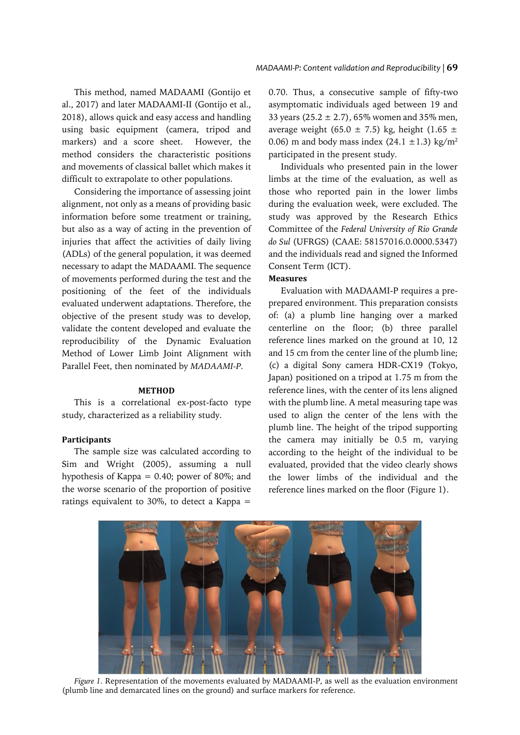This method, named MADAAMI (Gontijo et al., 2017) and later MADAAMI-II (Gontijo et al., 2018), allows quick and easy access and handling using basic equipment (camera, tripod and markers) and a score sheet. However, the method considers the characteristic positions and movements of classical ballet which makes it difficult to extrapolate to other populations.

Considering the importance of assessing joint alignment, not only as a means of providing basic information before some treatment or training, but also as a way of acting in the prevention of injuries that affect the activities of daily living (ADLs) of the general population, it was deemed necessary to adapt the MADAAMI. The sequence of movements performed during the test and the positioning of the feet of the individuals evaluated underwent adaptations. Therefore, the objective of the present study was to develop, validate the content developed and evaluate the reproducibility of the Dynamic Evaluation Method of Lower Limb Joint Alignment with Parallel Feet, then nominated by *MADAAMI-P.*

# **METHOD**

This is a correlational ex-post-facto type study, characterized as a reliability study.

### **Participants**

The sample size was calculated according to Sim and Wright (2005), assuming a null hypothesis of Kappa = 0.40; power of 80%; and the worse scenario of the proportion of positive ratings equivalent to 30%, to detect a Kappa =

0.70. Thus, a consecutive sample of fifty-two asymptomatic individuals aged between 19 and 33 years (25.2  $\pm$  2.7), 65% women and 35% men, average weight (65.0  $\pm$  7.5) kg, height (1.65  $\pm$ 0.06) m and body mass index  $(24.1 \pm 1.3)$  kg/m<sup>2</sup> participated in the present study.

Individuals who presented pain in the lower limbs at the time of the evaluation, as well as those who reported pain in the lower limbs during the evaluation week, were excluded. The study was approved by the Research Ethics Committee of the *Federal University of Rio Grande do Sul* (UFRGS) (CAAE: 58157016.0.0000.5347) and the individuals read and signed the Informed Consent Term (ICT).

## **Measures**

Evaluation with MADAAMI-P requires a preprepared environment. This preparation consists of: (a) a plumb line hanging over a marked centerline on the floor; (b) three parallel reference lines marked on the ground at 10, 12 and 15 cm from the center line of the plumb line; (c) a digital Sony camera HDR-CX19 (Tokyo, Japan) positioned on a tripod at 1.75 m from the reference lines, with the center of its lens aligned with the plumb line. A metal measuring tape was used to align the center of the lens with the plumb line. The height of the tripod supporting the camera may initially be 0.5 m, varying according to the height of the individual to be evaluated, provided that the video clearly shows the lower limbs of the individual and the reference lines marked on the floor (Figure 1).



*Figure 1.* Representation of the movements evaluated by MADAAMI-P, as well as the evaluation environment (plumb line and demarcated lines on the ground) and surface markers for reference.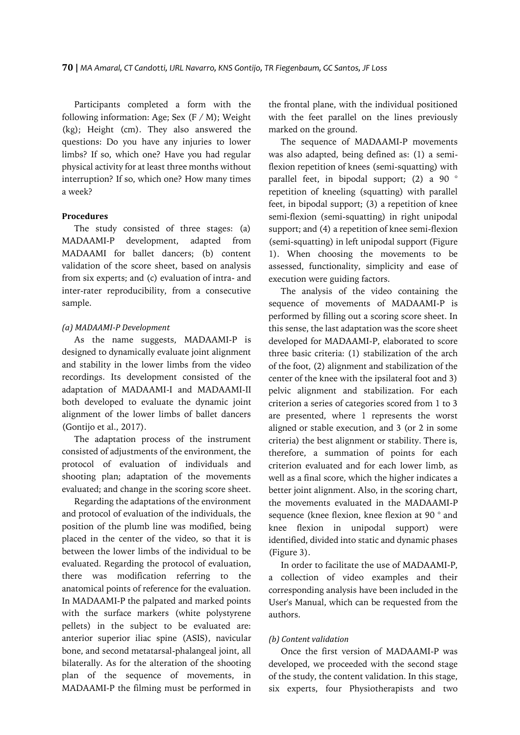Participants completed a form with the following information: Age; Sex  $(F/M)$ ; Weight (kg); Height (cm). They also answered the questions: Do you have any injuries to lower limbs? If so, which one? Have you had regular physical activity for at least three months without interruption? If so, which one? How many times a week?

### **Procedures**

The study consisted of three stages: (a) MADAAMI-P development, adapted from MADAAMI for ballet dancers; (b) content validation of the score sheet, based on analysis from six experts; and (c) evaluation of intra- and inter-rater reproducibility, from a consecutive sample.

#### *(a) MADAAMI-P Development*

As the name suggests, MADAAMI-P is designed to dynamically evaluate joint alignment and stability in the lower limbs from the video recordings. Its development consisted of the adaptation of MADAAMI-I and MADAAMI-II both developed to evaluate the dynamic joint alignment of the lower limbs of ballet dancers (Gontijo et al., 2017).

The adaptation process of the instrument consisted of adjustments of the environment, the protocol of evaluation of individuals and shooting plan; adaptation of the movements evaluated; and change in the scoring score sheet.

Regarding the adaptations of the environment and protocol of evaluation of the individuals, the position of the plumb line was modified, being placed in the center of the video, so that it is between the lower limbs of the individual to be evaluated. Regarding the protocol of evaluation, there was modification referring to the anatomical points of reference for the evaluation. In MADAAMI-P the palpated and marked points with the surface markers (white polystyrene pellets) in the subject to be evaluated are: anterior superior iliac spine (ASIS), navicular bone, and second metatarsal-phalangeal joint, all bilaterally. As for the alteration of the shooting plan of the sequence of movements, in MADAAMI-P the filming must be performed in

the frontal plane, with the individual positioned with the feet parallel on the lines previously marked on the ground.

The sequence of MADAAMI-P movements was also adapted, being defined as: (1) a semiflexion repetition of knees (semi-squatting) with parallel feet, in bipodal support; (2) a 90 ° repetition of kneeling (squatting) with parallel feet, in bipodal support; (3) a repetition of knee semi-flexion (semi-squatting) in right unipodal support; and (4) a repetition of knee semi-flexion (semi-squatting) in left unipodal support (Figure 1). When choosing the movements to be assessed, functionality, simplicity and ease of execution were guiding factors.

The analysis of the video containing the sequence of movements of MADAAMI-P is performed by filling out a scoring score sheet. In this sense, the last adaptation was the score sheet developed for MADAAMI-P, elaborated to score three basic criteria: (1) stabilization of the arch of the foot, (2) alignment and stabilization of the center of the knee with the ipsilateral foot and 3) pelvic alignment and stabilization. For each criterion a series of categories scored from 1 to 3 are presented, where 1 represents the worst aligned or stable execution, and 3 (or 2 in some criteria) the best alignment or stability. There is, therefore, a summation of points for each criterion evaluated and for each lower limb, as well as a final score, which the higher indicates a better joint alignment. Also, in the scoring chart, the movements evaluated in the MADAAMI-P sequence (knee flexion, knee flexion at 90 ° and knee flexion in unipodal support) were identified, divided into static and dynamic phases (Figure 3).

In order to facilitate the use of MADAAMI-P, a collection of video examples and their corresponding analysis have been included in the User's Manual, which can be requested from the authors.

### *(b) Content validation*

Once the first version of MADAAMI-P was developed, we proceeded with the second stage of the study, the content validation. In this stage, six experts, four Physiotherapists and two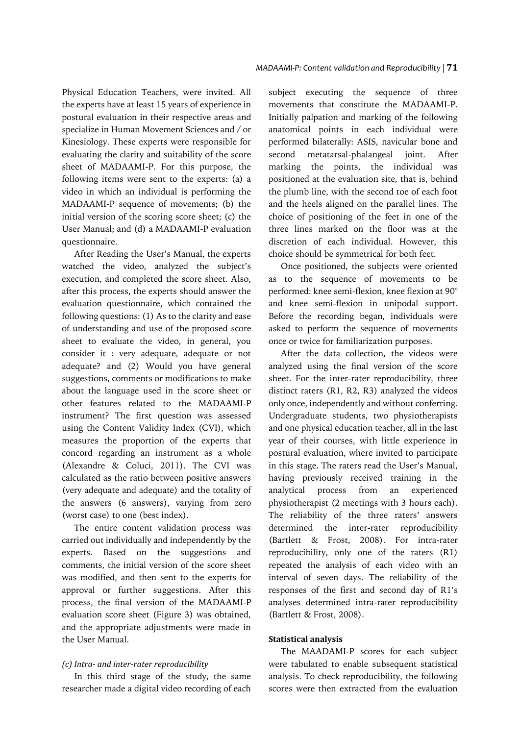Physical Education Teachers, were invited. All the experts have at least 15 years of experience in postural evaluation in their respective areas and specialize in Human Movement Sciences and / or Kinesiology. These experts were responsible for evaluating the clarity and suitability of the score sheet of MADAAMI-P. For this purpose, the following items were sent to the experts: (a) a video in which an individual is performing the MADAAMI-P sequence of movements; (b) the initial version of the scoring score sheet; (c) the User Manual; and (d) a MADAAMI-P evaluation questionnaire.

After Reading the User's Manual, the experts watched the video, analyzed the subject's execution, and completed the score sheet. Also, after this process, the experts should answer the evaluation questionnaire, which contained the following questions: (1) As to the clarity and ease of understanding and use of the proposed score sheet to evaluate the video, in general, you consider it : very adequate, adequate or not adequate? and (2) Would you have general suggestions, comments or modifications to make about the language used in the score sheet or other features related to the MADAAMI-P instrument? The first question was assessed using the Content Validity Index (CVI), which measures the proportion of the experts that concord regarding an instrument as a whole (Alexandre & Coluci, 2011). The CVI was calculated as the ratio between positive answers (very adequate and adequate) and the totality of the answers (6 answers), varying from zero (worst case) to one (best index).

The entire content validation process was carried out individually and independently by the experts. Based on the suggestions and comments, the initial version of the score sheet was modified, and then sent to the experts for approval or further suggestions. After this process, the final version of the MADAAMI-P evaluation score sheet (Figure 3) was obtained, and the appropriate adjustments were made in the User Manual.

# *(c) Intra- and inter-rater reproducibility*

In this third stage of the study, the same researcher made a digital video recording of each subject executing the sequence of three movements that constitute the MADAAMI-P. Initially palpation and marking of the following anatomical points in each individual were performed bilaterally: ASIS, navicular bone and second metatarsal-phalangeal joint. After marking the points, the individual was positioned at the evaluation site, that is, behind the plumb line, with the second toe of each foot and the heels aligned on the parallel lines. The choice of positioning of the feet in one of the three lines marked on the floor was at the discretion of each individual. However, this choice should be symmetrical for both feet.

Once positioned, the subjects were oriented as to the sequence of movements to be performed: knee semi-flexion, knee flexion at 90° and knee semi-flexion in unipodal support. Before the recording began, individuals were asked to perform the sequence of movements once or twice for familiarization purposes.

After the data collection, the videos were analyzed using the final version of the score sheet. For the inter-rater reproducibility, three distinct raters (R1, R2, R3) analyzed the videos only once, independently and without conferring. Undergraduate students, two physiotherapists and one physical education teacher, all in the last year of their courses, with little experience in postural evaluation, where invited to participate in this stage. The raters read the User's Manual, having previously received training in the analytical process from an experienced physiotherapist (2 meetings with 3 hours each). The reliability of the three raters' answers determined the inter-rater reproducibility (Bartlett & Frost, 2008). For intra-rater reproducibility, only one of the raters (R1) repeated the analysis of each video with an interval of seven days. The reliability of the responses of the first and second day of R1's analyses determined intra-rater reproducibility (Bartlett & Frost, 2008).

#### **Statistical analysis**

The MAADAMI-P scores for each subject were tabulated to enable subsequent statistical analysis. To check reproducibility, the following scores were then extracted from the evaluation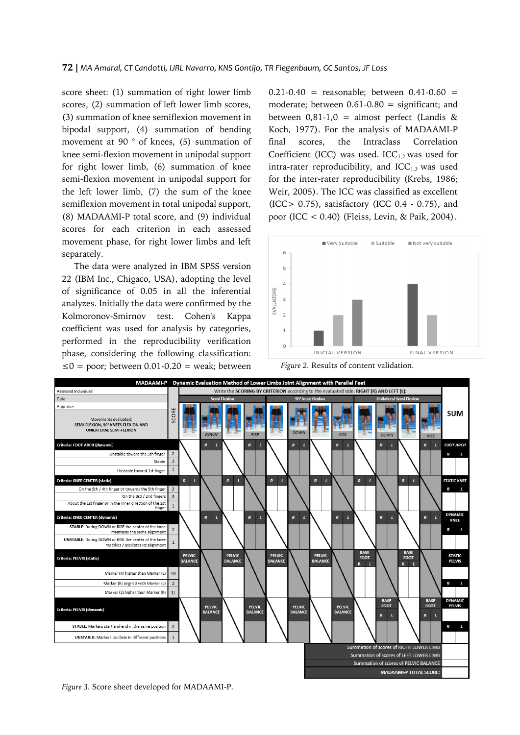score sheet: (1) summation of right lower limb scores, (2) summation of left lower limb scores, (3) summation of knee semiflexion movement in bipodal support, (4) summation of bending movement at 90 ° of knees, (5) summation of knee semi-flexion movement in unipodal support for right lower limb, (6) summation of knee semi-flexion movement in unipodal support for the left lower limb, (7) the sum of the knee semiflexion movement in total unipodal support, (8) MADAAMI-P total score, and (9) individual scores for each criterion in each assessed movement phase, for right lower limbs and left separately.

The data were analyzed in IBM SPSS version 22 (IBM Inc., Chigaco, USA), adopting the level of significance of 0.05 in all the inferential analyzes. Initially the data were confirmed by the Kolmoronov-Smirnov test. Cohen's Kappa coefficient was used for analysis by categories, performed in the reproducibility verification phase, considering the following classification: ≤0 = poor; between 0.01-0.20 = weak; between  $0.21 - 0.40$  = reasonable; between  $0.41 - 0.60$  = moderate; between  $0.61 - 0.80 =$  significant; and between  $0,81-1,0 =$  almost perfect (Landis & Koch, 1977). For the analysis of MADAAMI-P final scores, the Intraclass Correlation Coefficient (ICC) was used. ICC $_{1,2}$  was used for intra-rater reproducibility, and  $ICC_{1,3}$  was used for the inter-rater reproducibility (Krebs, 1986; Weir, 2005). The ICC was classified as excellent (ICC> 0.75), satisfactory (ICC 0.4 - 0.75), and poor (ICC < 0.40) (Fleiss, Levin, & Paik, 2004).







*Figure 3.* Score sheet developed for MADAAMI-P.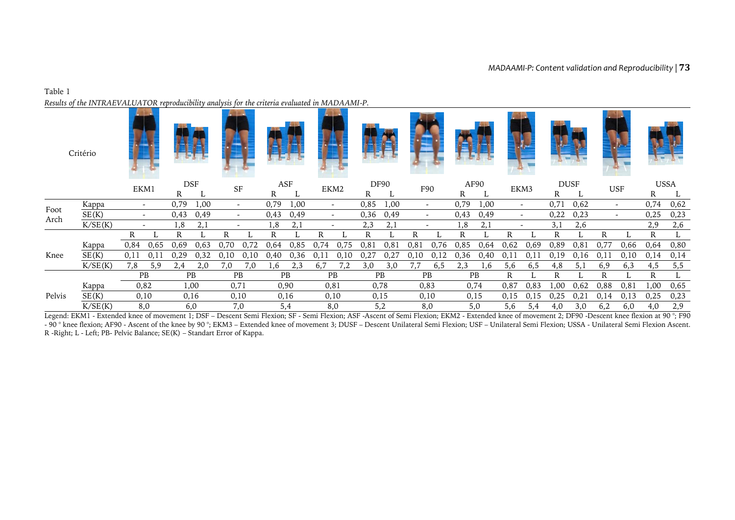# Table 1 *Results of the INTRAEVALUATOR reproducibility analysis for the criteria evaluated in MADAAMI-P.*

|              | Critério |      |      |      |           |      |                          |      |      |      |                          |             |      |      |                          |           |      |                          |                          |             |       |            |                          |              |      |
|--------------|----------|------|------|------|-----------|------|--------------------------|------|------|------|--------------------------|-------------|------|------|--------------------------|-----------|------|--------------------------|--------------------------|-------------|-------|------------|--------------------------|--------------|------|
|              |          | EKM1 |      | DSF  |           |      | SF                       | ASF  |      | EKM2 |                          | <b>DF90</b> |      | F90  |                          |           | AF90 |                          | EKM3                     | <b>DUSF</b> |       | <b>USF</b> |                          | <b>USSA</b>  |      |
|              |          |      |      | R    |           |      |                          | R    |      |      |                          | R           |      |      |                          | R         |      |                          |                          | R           |       |            |                          | R            |      |
|              | Kappa    |      |      | 0,79 | 1,00      |      | $\overline{\phantom{a}}$ | 0,79 | 1,00 |      | $\overline{\phantom{a}}$ | 0,85        | 1,00 |      | $\overline{\phantom{a}}$ | 0,79      | 1,00 |                          | $\overline{\phantom{0}}$ | 0,71        | 0,62  |            | $\overline{\phantom{0}}$ | 0,74         | 0,62 |
| Foot<br>Arch | SE(K)    |      |      | 0,43 | 0,49      |      | $\overline{\phantom{a}}$ | 0,43 | 0,49 |      | $\overline{\phantom{a}}$ | 0,36        | 0,49 |      | $\overline{\phantom{a}}$ | 0,43      | 0,49 |                          | $\sim$                   | 0,22        | 0,23  |            | $\overline{\phantom{a}}$ | 0,25         | 0,23 |
|              | K/SE(K)  |      |      | 1.8  | 2,1       |      | $\overline{\phantom{a}}$ | 1,8  | 2,1  |      | $\overline{\phantom{a}}$ | 2,3         | 2,1  |      | $\overline{\phantom{a}}$ | 1,8       | 2,1  | $\overline{\phantom{a}}$ |                          | 3,1         | 2,6   |            |                          | 2,9          | 2,6  |
|              |          | R    |      | R    |           | R    |                          | R    |      | R.   |                          | R           |      | R    |                          | R         |      | R                        |                          | R           |       | R          |                          | $\mathbb{R}$ |      |
|              | Kappa    | 0,84 | 0,65 | 0.69 | 0,63      | 0.70 | 0.72                     | 0.64 | 0,85 | 0,74 | 0,75                     | 0,8         | 0,81 | 0,8  | 0,76                     | 0,85      | 0,64 | 0,62                     | 0.69                     | 0,89        | 0, 81 | 0,77       | 0,66                     | 0,64         | 0,80 |
| Knee         | SE(K)    | 0,11 | 0,11 | 0,29 | 0,32      | 0,10 | 0,10                     | 0,40 | 0,36 | 0,11 | 0,10                     | 0,27        | 0,27 | 0,10 | 0,12                     | 0,36      | 0,40 | 0,11                     | 0,1                      | 0,19        | 0,16  | 0,11       | 0,10                     | 0,14         | 0,14 |
|              | K/SE(K)  | 7,8  | 5,9  | 2.4  | 2,0       | 7,0  | 7,0                      | 1.6  | 2,3  | 6,7  | 7,2                      | 3,0         | 3,0  | 7,7  | 6,5                      | 2,3       | 1.6  | 5,6                      | 6,5                      | 4,8         | 5,1   | 6,9        | 6,3                      | 4,5          | 5,5  |
|              |          |      | PB   |      | <b>PB</b> |      | <b>PB</b>                |      | PB   |      | PB                       | <b>PB</b>   |      |      | <b>PB</b>                | <b>PB</b> |      | R                        |                          | R           |       | R          |                          | $\mathbf{R}$ |      |
|              | Kappa    |      | 0,82 |      | 1,00      | 0,71 |                          |      | 0,90 | 0,81 |                          |             | 0,78 |      | 0,83                     |           | 0,74 | 0,87                     | 0,83                     | 1,00        | 0,62  | 0,88       | 0,81                     | 1,00         | 0,65 |
| Pelvis       | SE(K)    |      | 0,10 |      | 0,16      |      | 0,10                     |      | 0,16 |      | 0,10                     |             | 0,15 |      | 0,10                     | 0,15      |      | 0,15                     | 0,15                     | 0,25        | 0,21  | 0,14       | 0,13                     | 0,25         | 0,23 |
|              | K/SE(K)  |      | 8,0  |      | 6,0       |      | 7,0                      |      | 5,4  |      | 8,0                      |             | 5,2  |      | 8,0                      | 5,0       |      | 5,6                      | 5,4                      | 4,0         | 3,0   | 6,2        | 6,0                      | 4,0          | 2,9  |

Legend: EKM1 - Extended knee of movement 1; DSF – Descent Semi Flexion; SF - Semi Flexion; ASF -Ascent of Semi Flexion; EKM2 - Extended knee of movement 2; DF90 -Descent knee flexion at 90 °; F90 - 90 ° knee flexion; AF90 - Ascent of the knee by 90 °; EKM3 – Extended knee of movement 3; DUSF – Descent Unilateral Semi Flexion; USF – Unilateral Semi Flexion; USSA - Unilateral Semi Flexion; USSA - Unilateral Semi Flex R -Right; L - Left; PB- Pelvic Balance; SE(K) – Standart Error of Kappa.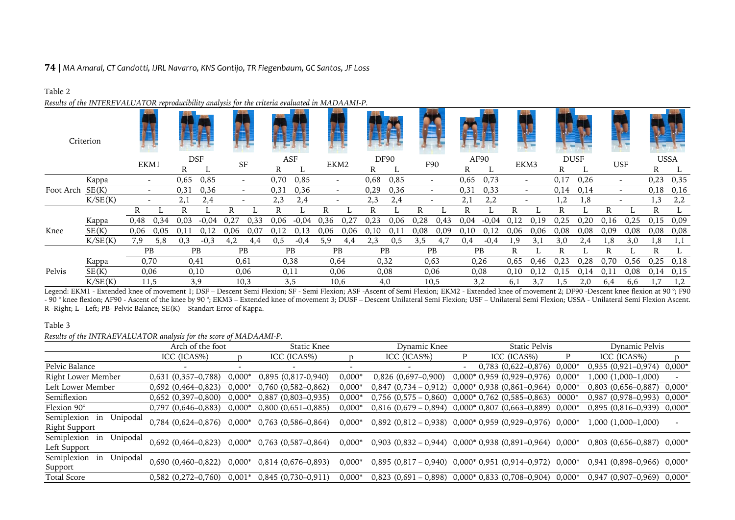# **74 |** *MA Amaral, CT Candotti, IJRL Navarro, KNS Gontijo, TR Fiegenbaum, GC Santos, JF Loss*

# Table 2

*Results of the INTEREVALUATOR reproducibility analysis for the criteria evaluated in MADAAMI-P.*

|           | Criterion |                                  |           |      |            |                          |                          |      |           |      |                          |      |             |      |                          |      |           |                          |                          |      |             |      |                          | $\sim$ |             |
|-----------|-----------|----------------------------------|-----------|------|------------|--------------------------|--------------------------|------|-----------|------|--------------------------|------|-------------|------|--------------------------|------|-----------|--------------------------|--------------------------|------|-------------|------|--------------------------|--------|-------------|
|           |           |                                  |           |      | <b>DSF</b> |                          | SF                       |      | ASF       |      | EKM2                     |      | <b>DF90</b> |      | F90                      |      | AF90      | EKM3                     |                          |      | <b>DUSF</b> |      | <b>USF</b>               |        | <b>USSA</b> |
|           |           |                                  |           | R    |            |                          |                          | R    |           |      |                          | R    |             |      |                          | R    |           |                          |                          | R    |             |      |                          | R      |             |
|           | Kappa     | EKM1<br>$\overline{\phantom{a}}$ |           | 0,65 | 0,85       | $\overline{\phantom{0}}$ |                          | 0,70 | 0,85      |      | $\overline{\phantom{0}}$ | 0,68 | 0,85        |      | $\sim$                   | 0.65 | 0,73      |                          | $\overline{\phantom{a}}$ | 0,17 | 0,26        |      | $\overline{\phantom{a}}$ | 0,23   | 0,35        |
| Foot Arch | SE(K)     |                                  |           | 0,31 | 0,36       |                          | $\overline{\phantom{a}}$ | 0,31 | 0,36      |      | $\overline{\phantom{a}}$ | 0,29 | 0,36        |      | $\overline{\phantom{a}}$ | 0,3  | 0,33      | $\overline{\phantom{a}}$ |                          | 0,14 | 0,14        |      | $\overline{\phantom{a}}$ | 0,18   | 0,16        |
|           | K/SE(K)   |                                  |           | 2,1  | 2,4        |                          |                          | 2,3  | 2,4       |      |                          | 2,3  | 2.4         |      |                          | 2,1  | 2,2       |                          |                          | 1,2  | 1,8         |      |                          | 1,3    | 2,2         |
|           |           | R                                |           | R    |            | R                        |                          | R    |           | R    |                          | R    |             | R    |                          |      |           | R                        |                          | R    |             |      |                          | R      |             |
|           | Kappa     | 0,48                             | 0.34      | 0,03 | $-0.04$    | 0,27                     | 0,33                     | 0,06 | $-0.04$   | 0,36 | 0,2'                     | 0,23 | 0,06        | 0,28 | 0,43                     | 0.04 | $-0.04$   | 0,12                     | 0.19                     | 0,25 | 0,20        | 0,16 | 0,25                     | 0,15   | 0,09        |
| Knee      | SE(K)     | 0,06                             | 0.05      | 0.1  |            | 0.06                     | 0,07                     | 0,12 | 0,13      | 0,06 | 0,06                     | 0.10 | 0.11        | 0,08 | 0,09                     | 0.10 | 0,12      | 0,06                     | 0,06                     | 0,08 | 0,08        | 0,09 | 0,08                     | 0,08   | 0,08        |
|           | K/SE(K)   | 7,9                              | 5,8       | 0,3  | $-0,3$     | 4,2                      | 4,4                      | 0,5  | $-0.4$    | 5,9  | 4,4                      | 2,3  | 0,5         | 3,5  | 4,7                      | 0.4  | $-0.4$    | 1,9                      | 3.1                      | 3,0  | 2,4         | 1,8  | 3,0                      | 1,8    | 1,1         |
|           |           |                                  | <b>PB</b> |      | <b>PB</b>  |                          | <b>PB</b>                |      | <b>PB</b> |      | <b>PB</b>                |      | <b>PB</b>   |      | <b>PB</b>                |      | <b>PB</b> | R                        |                          | R    |             | R    |                          | R      |             |
|           | Kappa     | 0,70                             |           | 0,41 |            | 0,61                     |                          |      | 0,38      |      | 0,64                     |      | 0,32        |      | 0,63                     |      | 0,26      | 0,65                     | 0.46                     | 0,23 | 0,28        | 0.70 | 0,56                     | 0,25   | 0,18        |
| Pelvis    | SE(K)     |                                  | 0,06      |      | 0,10       |                          | 0,06                     |      | 0,11      |      | 0,06                     |      | 0,08        |      | 0,06                     |      | 0,08      | 0,10                     |                          | 0.15 | 0,14        | 0.1  | 0,08                     | 0.14   | 0,15        |
|           | K/SE(K)   |                                  | 11,5      |      | 3,9        |                          | 10,3                     |      | 3,5       |      | 10,6                     |      | 4,0         |      | 10,5                     |      | 3,2       | 6,1                      |                          | 1.5  | 2,0         | 6,4  | 6,6                      |        | 1,2         |

Legend: EKM1 - Extended knee of movement 1; DSF - Descent Semi Flexion; SF - Semi Flexion; ASF -Ascent of Semi Flexion; EKM2 - Extended knee of movement 2; DF90 -Descent knee flexion at 90 °; F90 - 90 ° knee flexion; AF90 - Ascent of the knee by 90 °; EKM3 – Extended knee of movement 3; DUSF – Descent Unilateral Semi Flexion; USF – Unilateral Semi Flexion; USSA - Unilateral Semi Flexion; USSA - Unilateral Semi Flex R -Right; L - Left; PB- Pelvic Balance; SE(K) – Standart Error of Kappa.

# Table 3

*Results of the INTRAEVALUATOR analysis for the score of MADAAMI-P.*

|                                                       | Arch of the foot        |          | Static Knee             |          | Dynamic Knee                                                        |   | Static Pelvis                    |       | Dynamic Pelvis                   |          |  |
|-------------------------------------------------------|-------------------------|----------|-------------------------|----------|---------------------------------------------------------------------|---|----------------------------------|-------|----------------------------------|----------|--|
|                                                       | ICC (ICAS%)             |          | ICC (ICAS%)             |          | ICC (ICAS%)                                                         | P | ICC (ICAS%)                      |       | ICC (ICAS%)                      | D        |  |
| Pelvic Balance                                        |                         |          |                         |          |                                                                     |   | $0,783$ $(0,622-0,876)$ $0,000*$ |       | $0,955(0,921-0,974)$             | 0,000*   |  |
| Right Lower Member                                    | $0,631(0,357-0,788)$    | $0,000*$ | $0,895(0,817-0,940)$    | $0,000*$ | $0,826$ (0,697-0,900)                                               |   | $0,000*0,959(0,929-0,976)0,000*$ |       | 1,000 (1,000–1,000)              |          |  |
| Left Lower Member                                     | $0,692(0,464-0,823)$    | $0,000*$ | $0,760$ $(0,582-0,862)$ | $0,000*$ | $0,847$ $(0,734 - 0,912)$                                           |   | $0,000*0,938(0,861-0,964)0,000*$ |       | $0,803$ $(0,656-0,887)$ $0,000*$ |          |  |
| Semiflexion                                           | $0,652$ $(0,397-0,800)$ | $0,000*$ | 0,887 (0,803-0,935)     | $0,000*$ | $0,756$ $(0,575 - 0,860)$ $0,000*$ $0,762$ $(0,585-0,863)$          |   |                                  | 0000* | $0,987$ (0,978-0,993)            | $0,000*$ |  |
| Flexion 90°                                           | $0,797$ $(0,646-0,883)$ | $0,000*$ | $0,800$ $(0,651-0,885)$ | $0,000*$ | $0,816$ (0,679 - 0,894) 0,000* 0,807 (0,663-0,889) 0,000*           |   |                                  |       | 0,895 (0,816-0,939) 0,000*       |          |  |
| Unipodal<br>Semiplexion<br>in<br><b>Right Support</b> | $0,784$ $(0,624-0,876)$ | $0,000*$ | 0,763 (0,586–0,864)     | $0,000*$ | $0,892$ $(0,812 - 0,938)$ $0,000*$ 0,959 $(0,929-0,976)$ 0,000*     |   |                                  |       | 1,000 (1,000-1,000)              |          |  |
| Semiplexion<br>Unipodal<br>in<br>Left Support         | $0,692$ $(0,464-0,823)$ | $0,000*$ | $0,763$ $(0,587-0,864)$ | $0,000*$ | 0,903 $(0,832 - 0,944)$ 0,000* 0,938 $(0,891 - 0,964)$ 0,000*       |   |                                  |       | 0,803 (0,656-0,887) 0,000*       |          |  |
| Unipodal<br>Semiplexion<br>in<br>Support              | $0,690(0,460-0,822)$    | 0,000*   | $0,814$ (0,676–0,893)   | $0,000*$ | $0,895$ $(0,817 - 0,940)$ $0,000*$ $0,951$ $(0,914-0,972)$ $0,000*$ |   |                                  |       | 0,941 (0,898–0,966)              | 0,000*   |  |
| Total Score                                           | $0,582$ $(0,272-0,760)$ | $0,001*$ | $0,845(0,730-0,911)$    | $0,000*$ | $0,823$ $(0,691 - 0,898)$ $0,000*$ 0,833 $(0,708-0,904)$ 0,000*     |   |                                  |       | 0,947 (0,907–0,969)              | $0,000*$ |  |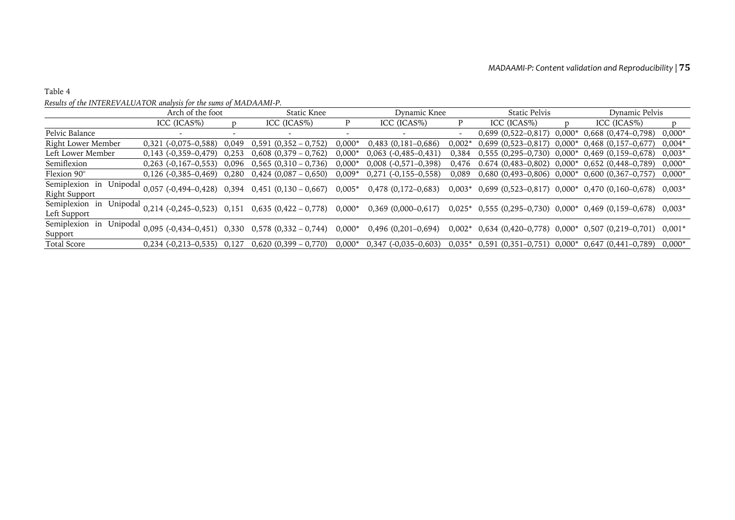# Table 4

# *Results of the INTEREVALUATOR analysis for the sums of MADAAMI-P.*

|                                             | Arch of the foot             |       | Static Knee                                               |          | Dynamic Knee            |                          | Static Pelvis                                            |   | Dynamic Pelvis                                                  |          |  |
|---------------------------------------------|------------------------------|-------|-----------------------------------------------------------|----------|-------------------------|--------------------------|----------------------------------------------------------|---|-----------------------------------------------------------------|----------|--|
|                                             | ICC (ICAS%)                  |       | ICC (ICAS%)                                               |          | ICC (ICAS%)             | P                        | ICC (ICAS%)                                              | D | ICC (ICAS%)                                                     |          |  |
| Pelvic Balance                              |                              |       | $\overline{\phantom{a}}$                                  |          |                         | $\overline{\phantom{0}}$ | $0,699$ $(0,522-0,817)$ $0,000*$                         |   | $0,668$ $(0,474-0,798)$                                         | $0,000*$ |  |
| Right Lower Member                          | $0,321$ (-0,075-0,588) 0,049 |       | $0,591$ $(0,352 - 0,752)$                                 | $0,000*$ | $0,483$ $(0,181-0,686)$ | $0.002*$                 | $0,699$ $(0,523-0,817)$ $0,000*$                         |   | $0,468$ (0,157-0,677)                                           | $0,004*$ |  |
| Left Lower Member                           | $0,143$ (-0,359-0,479)       | 0,253 | $0,608$ $(0,379 - 0,762)$                                 | $0,000*$ | $0,063$ (-0,485-0,431)  | 0,384                    | $0,555$ $(0,295-0,730)$ $0,000*$ $0,469$ $(0,159-0,678)$ |   |                                                                 | $0,003*$ |  |
| Semiflexion                                 | $0,263$ (-0,167-0,553)       | 0.096 | $0,565$ $(0,310 - 0,736)$                                 | $0,000*$ | $0,008$ (-0,571-0,398)  | 0,476                    | $0.674(0,483-0,802)0,000*$                               |   | 0,652 (0,448–0,789)                                             | $0,000*$ |  |
| Flexion 90°                                 |                              |       | $0,126$ (-0,385-0,469) 0,280 0,424 (0,087 - 0,650)        | $0,009*$ | $0,271$ (-0,155-0,558)  | 0.089                    | $0,680$ $(0,493-0,806)$ $0,000*$ $0,600$ $(0,367-0,757)$ |   |                                                                 | $0,000*$ |  |
| Semiplexion in<br>Unipodal<br>Right Support |                              |       | $0,057$ (-0,494-0,428) 0,394 0,451 (0,130 - 0,667)        | $0,005*$ | $0,478$ (0,172–0,683)   |                          |                                                          |   | $0,003*$ 0,699 (0,523-0,817) 0,000* 0,470 (0,160-0,678) 0,003*  |          |  |
| Semiplexion in<br>Unipodal<br>Left Support  |                              |       | $0,214$ (-0,245-0,523) 0,151 0,635 (0,422 - 0,778)        | $0,000*$ | $0,369$ (0,000-0,617)   |                          |                                                          |   | $0,025^*$ 0,555 (0,295-0,730) 0,000* 0,469 (0,159-0,678) 0,003* |          |  |
| Semiplexion<br>Unipodal<br>in<br>Support    |                              |       | $0,095$ (-0,434-0,451) 0,330 0,578 (0,332 - 0,744) 0,000* |          | $0,496$ (0,201–0,694)   |                          |                                                          |   | $0,002^*$ 0,634 (0,420-0,778) 0,000* 0,507 (0,219-0,701) 0,001* |          |  |
| Total Score                                 | $0,234$ (-0,213-0,535) 0,127 |       | $0,620$ $(0,399 - 0,770)$                                 | $0,000*$ | $0,347$ (-0,035-0,603)  | $0.035*$                 | $0,591$ $(0,351-0,751)$ $0,000*$ $0,647$ $(0,441-0,789)$ |   |                                                                 | $0,000*$ |  |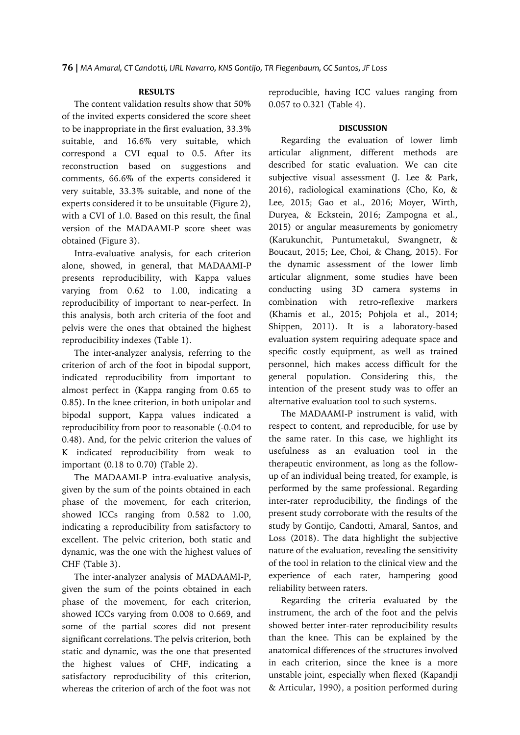# **RESULTS**

The content validation results show that 50% of the invited experts considered the score sheet to be inappropriate in the first evaluation, 33.3% suitable, and 16.6% very suitable, which correspond a CVI equal to 0.5. After its reconstruction based on suggestions and comments, 66.6% of the experts considered it very suitable, 33.3% suitable, and none of the experts considered it to be unsuitable (Figure 2), with a CVI of 1.0. Based on this result, the final version of the MADAAMI-P score sheet was obtained (Figure 3).

Intra-evaluative analysis, for each criterion alone, showed, in general, that MADAAMI-P presents reproducibility, with Kappa values varying from 0.62 to 1.00, indicating a reproducibility of important to near-perfect. In this analysis, both arch criteria of the foot and pelvis were the ones that obtained the highest reproducibility indexes (Table 1).

The inter-analyzer analysis, referring to the criterion of arch of the foot in bipodal support, indicated reproducibility from important to almost perfect in (Kappa ranging from 0.65 to 0.85). In the knee criterion, in both unipolar and bipodal support, Kappa values indicated a reproducibility from poor to reasonable (-0.04 to 0.48). And, for the pelvic criterion the values of K indicated reproducibility from weak to important (0.18 to 0.70) (Table 2).

The MADAAMI-P intra-evaluative analysis, given by the sum of the points obtained in each phase of the movement, for each criterion, showed ICCs ranging from 0.582 to 1.00, indicating a reproducibility from satisfactory to excellent. The pelvic criterion, both static and dynamic, was the one with the highest values of CHF (Table 3).

The inter-analyzer analysis of MADAAMI-P, given the sum of the points obtained in each phase of the movement, for each criterion, showed ICCs varying from 0.008 to 0.669, and some of the partial scores did not present significant correlations. The pelvis criterion, both static and dynamic, was the one that presented the highest values of CHF, indicating a satisfactory reproducibility of this criterion, whereas the criterion of arch of the foot was not

reproducible, having ICC values ranging from 0.057 to 0.321 (Table 4).

### **DISCUSSION**

Regarding the evaluation of lower limb articular alignment, different methods are described for static evaluation. We can cite subjective visual assessment (J. Lee & Park, 2016), radiological examinations (Cho, Ko, & Lee, 2015; Gao et al., 2016; Moyer, Wirth, Duryea, & Eckstein, 2016; Zampogna et al., 2015) or angular measurements by goniometry (Karukunchit, Puntumetakul, Swangnetr, & Boucaut, 2015; Lee, Choi, & Chang, 2015). For the dynamic assessment of the lower limb articular alignment, some studies have been conducting using 3D camera systems in combination with retro-reflexive markers (Khamis et al., 2015; Pohjola et al., 2014; Shippen, 2011). It is a laboratory-based evaluation system requiring adequate space and specific costly equipment, as well as trained personnel, hich makes access difficult for the general population. Considering this, the intention of the present study was to offer an alternative evaluation tool to such systems.

The MADAAMI-P instrument is valid, with respect to content, and reproducible, for use by the same rater. In this case, we highlight its usefulness as an evaluation tool in the therapeutic environment, as long as the followup of an individual being treated, for example, is performed by the same professional. Regarding inter-rater reproducibility, the findings of the present study corroborate with the results of the study by Gontijo, Candotti, Amaral, Santos, and Loss (2018). The data highlight the subjective nature of the evaluation, revealing the sensitivity of the tool in relation to the clinical view and the experience of each rater, hampering good reliability between raters.

Regarding the criteria evaluated by the instrument, the arch of the foot and the pelvis showed better inter-rater reproducibility results than the knee. This can be explained by the anatomical differences of the structures involved in each criterion, since the knee is a more unstable joint, especially when flexed (Kapandji & Articular, 1990), a position performed during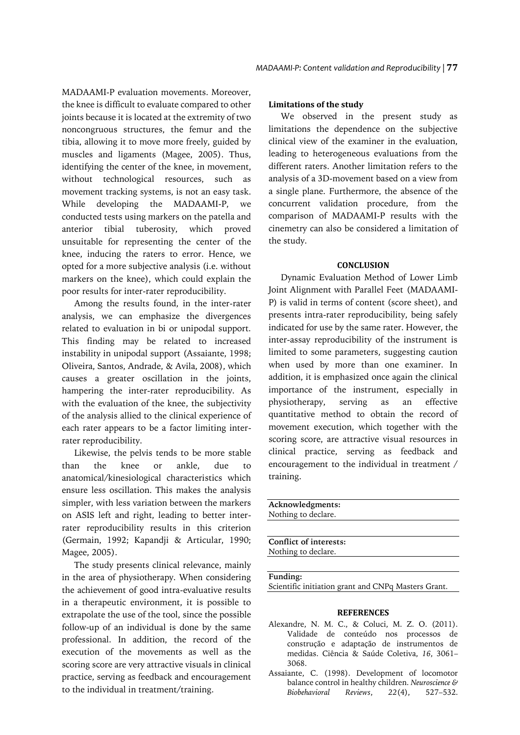MADAAMI-P evaluation movements. Moreover, the knee is difficult to evaluate compared to other joints because it is located at the extremity of two noncongruous structures, the femur and the tibia, allowing it to move more freely, guided by muscles and ligaments (Magee, 2005). Thus, identifying the center of the knee, in movement, without technological resources, such as movement tracking systems, is not an easy task. While developing the MADAAMI-P, we conducted tests using markers on the patella and anterior tibial tuberosity, which proved unsuitable for representing the center of the knee, inducing the raters to error. Hence, we opted for a more subjective analysis (i.e. without markers on the knee), which could explain the poor results for inter-rater reproducibility.

Among the results found, in the inter-rater analysis, we can emphasize the divergences related to evaluation in bi or unipodal support. This finding may be related to increased instability in unipodal support (Assaiante, 1998; Oliveira, Santos, Andrade, & Avila, 2008), which causes a greater oscillation in the joints, hampering the inter-rater reproducibility. As with the evaluation of the knee, the subjectivity of the analysis allied to the clinical experience of each rater appears to be a factor limiting interrater reproducibility.

Likewise, the pelvis tends to be more stable than the knee or ankle, due to anatomical/kinesiological characteristics which ensure less oscillation. This makes the analysis simpler, with less variation between the markers on ASIS left and right, leading to better interrater reproducibility results in this criterion (Germain, 1992; Kapandji & Articular, 1990; Magee, 2005).

The study presents clinical relevance, mainly in the area of physiotherapy. When considering the achievement of good intra-evaluative results in a therapeutic environment, it is possible to extrapolate the use of the tool, since the possible follow-up of an individual is done by the same professional. In addition, the record of the execution of the movements as well as the scoring score are very attractive visuals in clinical practice, serving as feedback and encouragement to the individual in treatment/training.

#### **Limitations of the study**

We observed in the present study as limitations the dependence on the subjective clinical view of the examiner in the evaluation, leading to heterogeneous evaluations from the different raters. Another limitation refers to the analysis of a 3D-movement based on a view from a single plane. Furthermore, the absence of the concurrent validation procedure, from the comparison of MADAAMI-P results with the cinemetry can also be considered a limitation of the study.

### **CONCLUSION**

Dynamic Evaluation Method of Lower Limb Joint Alignment with Parallel Feet (MADAAMI-P) is valid in terms of content (score sheet), and presents intra-rater reproducibility, being safely indicated for use by the same rater. However, the inter-assay reproducibility of the instrument is limited to some parameters, suggesting caution when used by more than one examiner. In addition, it is emphasized once again the clinical importance of the instrument, especially in physiotherapy, serving as an effective quantitative method to obtain the record of movement execution, which together with the scoring score, are attractive visual resources in clinical practice, serving as feedback and encouragement to the individual in treatment / training.

**Acknowledgments:** Nothing to declare.

**Conflict of interests:** Nothing to declare.

**Funding:**

Scientific initiation grant and CNPq Masters Grant.

#### **REFERENCES**

- Alexandre, N. M. C., & Coluci, M. Z. O. (2011). Validade de conteúdo nos processos de construção e adaptação de instrumentos de medidas. Ciência & Saúde Coletiva, *16*, 3061– 3068.
- Assaiante, C. (1998). Development of locomotor balance control in healthy children. *Neuroscience & Biobehavioral Reviews*, *22*(4), 527–532.